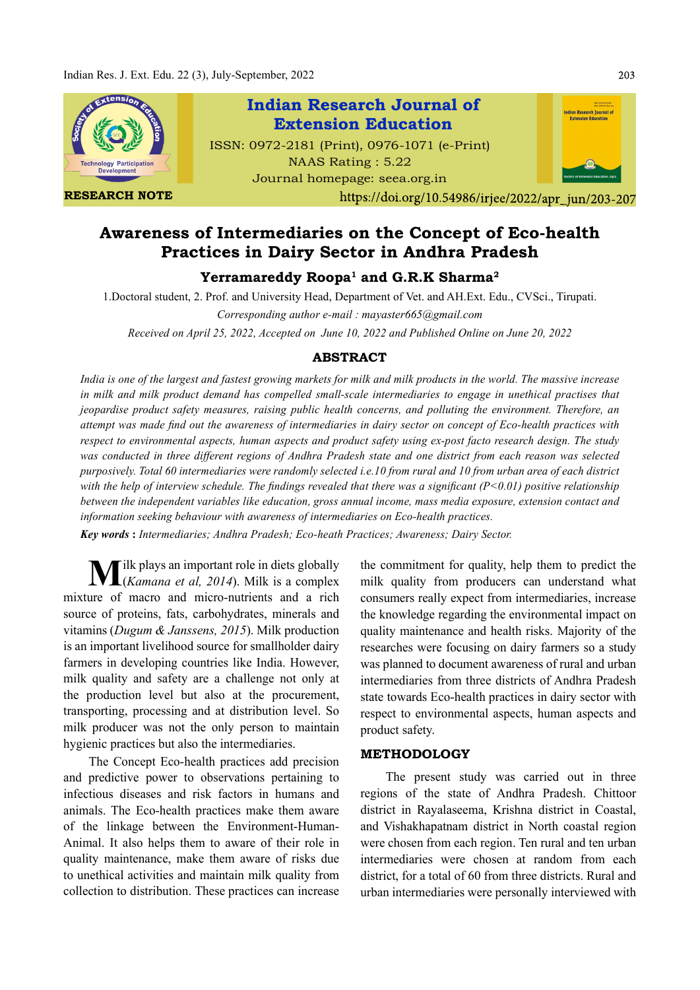

# Awareness of Intermediaries on the Concept of Eco-health Practices in Dairy Sector in Andhra Pradesh

## ${\bf Y}$ erramareddy Roopa $^1$  and G.R.K Sharma $^2$

1.Doctoral student, 2. Prof. and University Head, Department of Vet. and AH.Ext. Edu., CVSci., Tirupati.

Corresponding author e-mail : mayaster665@gmail.com

Received on April 25, 2022, Accepted on June 10, 2022 and Published Online on June 20, 2022

### ABSTRACT

India is one of the largest and fastest growing markets for milk and milk products in the world. The massive increase in milk and milk product demand has compelled small-scale intermediaries to engage in unethical practises that jeopardise product safety measures, raising public health concerns, and polluting the environment. Therefore, an attempt was made find out the awareness of intermediaries in dairy sector on concept of Eco-health practices with respect to environmental aspects, human aspects and product safety using ex-post facto research design. The study was conducted in three different regions of Andhra Pradesh state and one district from each reason was selected purposively. Total 60 intermediaries were randomly selected i.e.10 from rural and 10 from urban area of each district with the help of interview schedule. The findings revealed that there was a significant  $(P<0.01)$  positive relationship between the independent variables like education, gross annual income, mass media exposure, extension contact and information seeking behaviour with awareness of intermediaries on Eco-health practices.

Key words : Intermediaries; Andhra Pradesh; Eco-heath Practices; Awareness; Dairy Sector.

 $\sum_{\text{Kramers}}$  ilk plays an important role in diets globally  $\sqrt{\frac{1}{\text{Kamana}}}$  et al. 2014). Milk is a complex mixture of macro and micro-nutrients and a rich source of proteins, fats, carbohydrates, minerals and vitamins ( $Dugum \& Janssens, 2015$ ). Milk production is an important livelihood source for smallholder dairy farmers in developing countries like India. However, milk quality and safety are a challenge not only at the production level but also at the procurement, transporting, processing and at distribution level. So milk producer was not the only person to maintain hygienic practices but also the intermediaries.

The Concept Eco-health practices add precision and predictive power to observations pertaining to infectious diseases and risk factors in humans and animals. The Eco-health practices make them aware of the linkage between the Environment-Human-Animal. It also helps them to aware of their role in quality maintenance, make them aware of risks due to unethical activities and maintain milk quality from collection to distribution. These practices can increase

the commitment for quality, help them to predict the milk quality from producers can understand what consumers really expect from intermediaries, increase the knowledge regarding the environmental impact on quality maintenance and health risks. Majority of the researches were focusing on dairy farmers so a study was planned to document awareness of rural and urban intermediaries from three districts of Andhra Pradesh state towards Eco-health practices in dairy sector with respect to environmental aspects, human aspects and product safety.

### METHODOLOGY

The present study was carried out in three regions of the state of Andhra Pradesh. Chittoor district in Rayalaseema, Krishna district in Coastal, and Vishakhapatnam district in North coastal region were chosen from each region. Ten rural and ten urban intermediaries were chosen at random from each district, for a total of 60 from three districts. Rural and urban intermediaries were personally interviewed with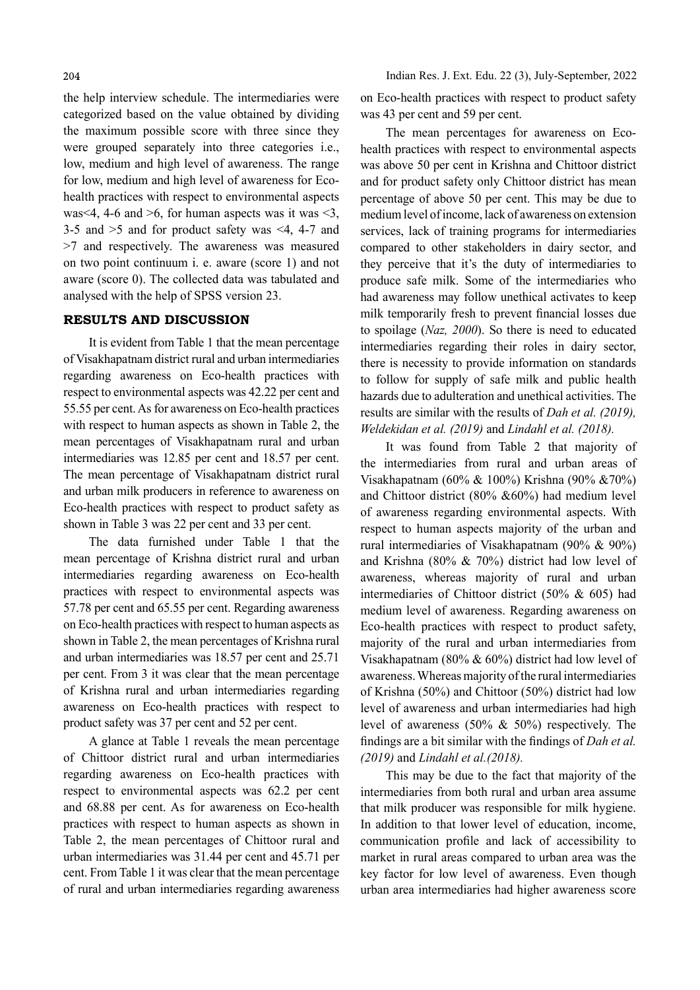the help interview schedule. The intermediaries were categorized based on the value obtained by dividing the maximum possible score with three since they were grouped separately into three categories i.e., low, medium and high level of awareness. The range for low, medium and high level of awareness for Ecohealth practices with respect to environmental aspects was  $4, 4$ -6 and  $>$ 6, for human aspects was it was  $<$ 3, 3-5 and >5 and for product safety was <4, 4-7 and >7 and respectively. The awareness was measured on two point continuum i. e. aware (score 1) and not aware (score 0). The collected data was tabulated and analysed with the help of SPSS version 23.

#### RESULTS AND DISCUSSION

It is evident from Table 1 that the mean percentage of Visakhapatnam district rural and urban intermediaries regarding awareness on Eco-health practices with respect to environmental aspects was 42.22 per cent and 55.55 per cent. As for awareness on Eco-health practices with respect to human aspects as shown in Table 2, the mean percentages of Visakhapatnam rural and urban intermediaries was 12.85 per cent and 18.57 per cent. The mean percentage of Visakhapatnam district rural and urban milk producers in reference to awareness on Eco-health practices with respect to product safety as shown in Table 3 was 22 per cent and 33 per cent.

The data furnished under Table 1 that the mean percentage of Krishna district rural and urban intermediaries regarding awareness on Eco-health practices with respect to environmental aspects was 57.78 per cent and 65.55 per cent. Regarding awareness on Eco-health practices with respect to human aspects as shown in Table 2, the mean percentages of Krishna rural and urban intermediaries was 18.57 per cent and 25.71 per cent. From 3 it was clear that the mean percentage of Krishna rural and urban intermediaries regarding awareness on Eco-health practices with respect to product safety was 37 per cent and 52 per cent.

A glance at Table 1 reveals the mean percentage of Chittoor district rural and urban intermediaries regarding awareness on Eco-health practices with respect to environmental aspects was 62.2 per cent and 68.88 per cent. As for awareness on Eco-health practices with respect to human aspects as shown in Table 2, the mean percentages of Chittoor rural and urban intermediaries was 31.44 per cent and 45.71 per cent. From Table 1 it was clear that the mean percentage of rural and urban intermediaries regarding awareness on Eco-health practices with respect to product safety was 43 per cent and 59 per cent.

The mean percentages for awareness on Ecohealth practices with respect to environmental aspects was above 50 per cent in Krishna and Chittoor district and for product safety only Chittoor district has mean percentage of above 50 per cent. This may be due to medium level of income, lack of awareness on extension services, lack of training programs for intermediaries compared to other stakeholders in dairy sector, and they perceive that it's the duty of intermediaries to produce safe milk. Some of the intermediaries who had awareness may follow unethical activates to keep milk temporarily fresh to prevent financial losses due to spoilage (Naz, 2000). So there is need to educated intermediaries regarding their roles in dairy sector, there is necessity to provide information on standards to follow for supply of safe milk and public health hazards due to adulteration and unethical activities. The results are similar with the results of Dah et al. (2019), Weldekidan et al. (2019) and Lindahl et al. (2018).

It was found from Table 2 that majority of the intermediaries from rural and urban areas of Visakhapatnam (60% & 100%) Krishna (90% &70%) and Chittoor district (80% &60%) had medium level of awareness regarding environmental aspects. With respect to human aspects majority of the urban and rural intermediaries of Visakhapatnam (90% & 90%) and Krishna (80% & 70%) district had low level of awareness, whereas majority of rural and urban intermediaries of Chittoor district (50% & 605) had medium level of awareness. Regarding awareness on Eco-health practices with respect to product safety, majority of the rural and urban intermediaries from Visakhapatnam (80% & 60%) district had low level of awareness. Whereas majority of the rural intermediaries of Krishna (50%) and Chittoor (50%) district had low level of awareness and urban intermediaries had high level of awareness (50% & 50%) respectively. The findings are a bit similar with the findings of  $Dah$  et al. (2019) and Lindahl et al.(2018).

This may be due to the fact that majority of the intermediaries from both rural and urban area assume that milk producer was responsible for milk hygiene. In addition to that lower level of education, income, communication profile and lack of accessibility to market in rural areas compared to urban area was the key factor for low level of awareness. Even though urban area intermediaries had higher awareness score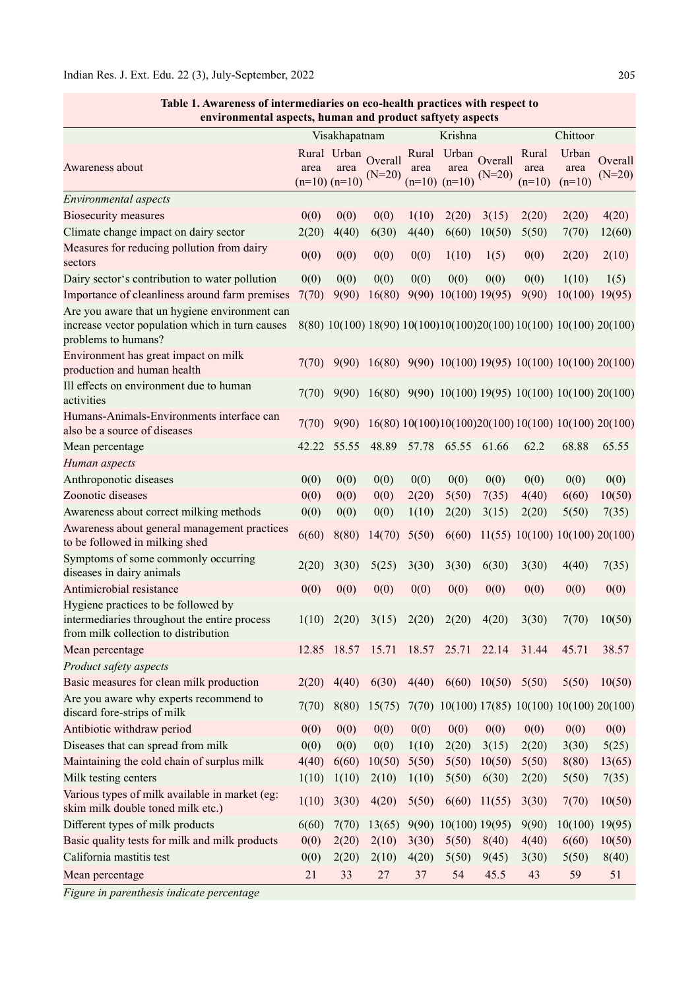| environmental aspects, human and product saftyety aspects                                                                   |       |                                          |                     |       |                                          |                     |                                                                    |                           |                     |
|-----------------------------------------------------------------------------------------------------------------------------|-------|------------------------------------------|---------------------|-------|------------------------------------------|---------------------|--------------------------------------------------------------------|---------------------------|---------------------|
|                                                                                                                             |       | Visakhapatnam                            |                     |       | Krishna                                  |                     |                                                                    | Chittoor                  |                     |
| Awareness about                                                                                                             | area  | Rural Urban<br>area<br>$(n=10)$ $(n=10)$ | Overall<br>$(N=20)$ | area  | Rural Urban<br>area<br>$(n=10)$ $(n=10)$ | Overall<br>$(N=20)$ | Rural<br>area<br>$(n=10)$                                          | Urban<br>area<br>$(n=10)$ | Overall<br>$(N=20)$ |
| Environmental aspects                                                                                                       |       |                                          |                     |       |                                          |                     |                                                                    |                           |                     |
| <b>Biosecurity measures</b>                                                                                                 | 0(0)  | 0(0)                                     | 0(0)                | 1(10) | 2(20)                                    | 3(15)               | 2(20)                                                              | 2(20)                     | 4(20)               |
| Climate change impact on dairy sector                                                                                       | 2(20) | 4(40)                                    | 6(30)               | 4(40) | 6(60)                                    | 10(50)              | 5(50)                                                              | 7(70)                     | 12(60)              |
| Measures for reducing pollution from dairy<br>sectors                                                                       | 0(0)  | 0(0)                                     | 0(0)                | 0(0)  | 1(10)                                    | 1(5)                | 0(0)                                                               | 2(20)                     | 2(10)               |
| Dairy sector's contribution to water pollution                                                                              | 0(0)  | 0(0)                                     | 0(0)                | 0(0)  | 0(0)                                     | 0(0)                | 0(0)                                                               | 1(10)                     | 1(5)                |
| Importance of cleanliness around farm premises                                                                              | 7(70) | 9(90)                                    | 16(80)              |       | 9(90) 10(100) 19(95)                     |                     | 9(90)                                                              | $10(100)$ 19(95)          |                     |
| Are you aware that un hygiene environment can<br>increase vector population which in turn causes<br>problems to humans?     |       |                                          |                     |       |                                          |                     | 8(80) 10(100) 18(90) 10(100)10(100)20(100) 10(100) 10(100) 20(100) |                           |                     |
| Environment has great impact on milk<br>production and human health                                                         | 7(70) |                                          |                     |       |                                          |                     | 9(90) 16(80) 9(90) 10(100) 19(95) 10(100) 10(100) 20(100)          |                           |                     |
| Ill effects on environment due to human<br>activities                                                                       | 7(70) | 9(90)                                    |                     |       |                                          |                     | $16(80)$ 9(90) 10(100) 19(95) 10(100) 10(100) 20(100)              |                           |                     |
| Humans-Animals-Environments interface can<br>also be a source of diseases                                                   | 7(70) | 9(90)                                    |                     |       |                                          |                     | 16(80) 10(100) 10(100) 20(100) 10(100) 10(100) 20(100)             |                           |                     |
| Mean percentage                                                                                                             | 42.22 | 55.55                                    | 48.89               | 57.78 | 65.55                                    | 61.66               | 62.2                                                               | 68.88                     | 65.55               |
| Human aspects                                                                                                               |       |                                          |                     |       |                                          |                     |                                                                    |                           |                     |
| Anthroponotic diseases                                                                                                      | 0(0)  | 0(0)                                     | 0(0)                | 0(0)  | 0(0)                                     | 0(0)                | 0(0)                                                               | 0(0)                      | 0(0)                |
| Zoonotic diseases                                                                                                           | 0(0)  | 0(0)                                     | 0(0)                | 2(20) | 5(50)                                    | 7(35)               | 4(40)                                                              | 6(60)                     | 10(50)              |
| Awareness about correct milking methods                                                                                     | 0(0)  | 0(0)                                     | 0(0)                | 1(10) | 2(20)                                    | 3(15)               | 2(20)                                                              | 5(50)                     | 7(35)               |
| Awareness about general management practices<br>to be followed in milking shed                                              | 6(60) | 8(80)                                    | 14(70)              | 5(50) | 6(60)                                    |                     | 11(55) 10(100) 10(100) 20(100)                                     |                           |                     |
| Symptoms of some commonly occurring<br>diseases in dairy animals                                                            | 2(20) | 3(30)                                    | 5(25)               | 3(30) | 3(30)                                    | 6(30)               | 3(30)                                                              | 4(40)                     | 7(35)               |
| Antimicrobial resistance                                                                                                    | 0(0)  | 0(0)                                     | 0(0)                | 0(0)  | 0(0)                                     | 0(0)                | 0(0)                                                               | 0(0)                      | 0(0)                |
| Hygiene practices to be followed by<br>intermediaries throughout the entire process<br>from milk collection to distribution | 1(10) | 2(20)                                    | 3(15)               | 2(20) | 2(20)                                    | 4(20)               | 3(30)                                                              | 7(70)                     | 10(50)              |
| Mean percentage                                                                                                             |       | 12.85 18.57                              | 15.71               |       | 18.57 25.71                              | 22.14               | 31.44                                                              | 45.71                     | 38.57               |
| Product safety aspects                                                                                                      |       |                                          |                     |       |                                          |                     |                                                                    |                           |                     |
| Basic measures for clean milk production                                                                                    | 2(20) | 4(40)                                    | 6(30)               |       | $4(40)$ $6(60)$ $10(50)$ $5(50)$         |                     |                                                                    | 5(50)                     | 10(50)              |
| Are you aware why experts recommend to<br>discard fore-strips of milk                                                       | 7(70) | 8(80)                                    | 15(75)              |       |                                          |                     | 7(70) 10(100) 17(85) 10(100) 10(100) 20(100)                       |                           |                     |
| Antibiotic withdraw period                                                                                                  | 0(0)  | 0(0)                                     | 0(0)                | 0(0)  | 0(0)                                     | 0(0)                | 0(0)                                                               | 0(0)                      | 0(0)                |
| Diseases that can spread from milk                                                                                          | 0(0)  | 0(0)                                     | 0(0)                | 1(10) | 2(20)                                    | 3(15)               | 2(20)                                                              | 3(30)                     | 5(25)               |
| Maintaining the cold chain of surplus milk                                                                                  | 4(40) | 6(60)                                    | 10(50)              | 5(50) | 5(50)                                    | 10(50)              | 5(50)                                                              | 8(80)                     | 13(65)              |
| Milk testing centers                                                                                                        | 1(10) | 1(10)                                    | 2(10)               | 1(10) | 5(50)                                    | 6(30)               | 2(20)                                                              | 5(50)                     | 7(35)               |
| Various types of milk available in market (eg:<br>skim milk double toned milk etc.)                                         | 1(10) | 3(30)                                    | 4(20)               | 5(50) | 6(60)                                    | 11(55)              | 3(30)                                                              | 7(70)                     | 10(50)              |
| Different types of milk products                                                                                            | 6(60) | 7(70)                                    | 13(65)              |       | 9(90) 10(100) 19(95)                     |                     | 9(90)                                                              | 10(100)                   | 19(95)              |
| Basic quality tests for milk and milk products                                                                              | 0(0)  | 2(20)                                    | 2(10)               | 3(30) | 5(50)                                    | 8(40)               | 4(40)                                                              | 6(60)                     | 10(50)              |
| California mastitis test                                                                                                    | 0(0)  | 2(20)                                    | 2(10)               | 4(20) | 5(50)                                    | 9(45)               | 3(30)                                                              | 5(50)                     | 8(40)               |
| Mean percentage                                                                                                             | 21    | 33                                       | 27                  | 37    | 54                                       | 45.5                | 43                                                                 | 59                        | 51                  |
|                                                                                                                             |       |                                          |                     |       |                                          |                     |                                                                    |                           |                     |

Table 1. Awareness of intermediaries on eco-health practices with respect to

Figure in parenthesis indicate percentage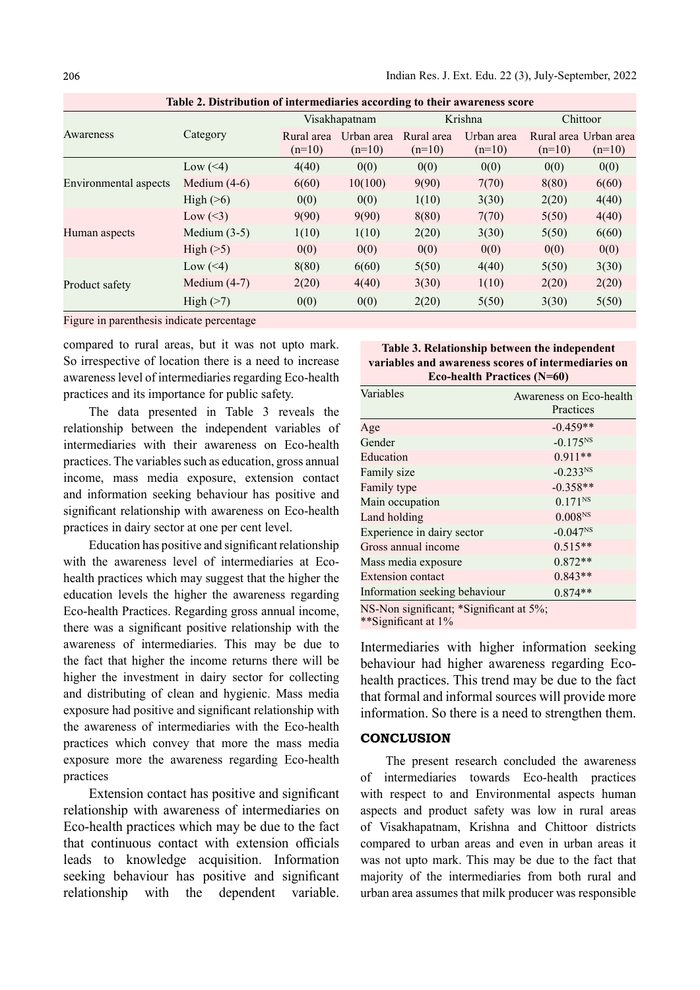Indian Res. J. Ext. Edu. 22 (3), July-September, 2022

Table 2. Distribution of intermediaries according to their awareness score

|                       |                |                        | Visakhapatnam          |                        | Krishna                | Chittoor |                                   |
|-----------------------|----------------|------------------------|------------------------|------------------------|------------------------|----------|-----------------------------------|
| Awareness             | Category       | Rural area<br>$(n=10)$ | Urban area<br>$(n=10)$ | Rural area<br>$(n=10)$ | Urban area<br>$(n=10)$ | $(n=10)$ | Rural area Urban area<br>$(n=10)$ |
| Environmental aspects | Low $(\leq 4)$ | 4(40)                  | 0(0)                   | 0(0)                   | 0(0)                   | 0(0)     | 0(0)                              |
|                       | Medium $(4-6)$ | 6(60)                  | 10(100)                | 9(90)                  | 7(70)                  | 8(80)    | 6(60)                             |
|                       | High $($ >6)   | 0(0)                   | 0(0)                   | 1(10)                  | 3(30)                  | 2(20)    | 4(40)                             |
| Human aspects         | Low $(\leq 3)$ | 9(90)                  | 9(90)                  | 8(80)                  | 7(70)                  | 5(50)    | 4(40)                             |
|                       | Medium $(3-5)$ | 1(10)                  | 1(10)                  | 2(20)                  | 3(30)                  | 5(50)    | 6(60)                             |
|                       | High $(>5)$    | 0(0)                   | 0(0)                   | 0(0)                   | 0(0)                   | 0(0)     | 0(0)                              |
| Product safety        | Low $(\leq 4)$ | 8(80)                  | 6(60)                  | 5(50)                  | 4(40)                  | 5(50)    | 3(30)                             |
|                       | Medium $(4-7)$ | 2(20)                  | 4(40)                  | 3(30)                  | 1(10)                  | 2(20)    | 2(20)                             |
|                       | $High (>=7)$   | 0(0)                   | 0(0)                   | 2(20)                  | 5(50)                  | 3(30)    | 5(50)                             |

Figure in parenthesis indicate percentage

compared to rural areas, but it was not upto mark. So irrespective of location there is a need to increase awareness level of intermediaries regarding Eco-health practices and its importance for public safety.

The data presented in Table 3 reveals the relationship between the independent variables of intermediaries with their awareness on Eco-health practices. The variables such as education, gross annual income, mass media exposure, extension contact and information seeking behaviour has positive and significant relationship with awareness on Eco-health practices in dairy sector at one per cent level.

Education has positive and significant relationship with the awareness level of intermediaries at Ecohealth practices which may suggest that the higher the education levels the higher the awareness regarding Eco-health Practices. Regarding gross annual income, there was a significant positive relationship with the awareness of intermediaries. This may be due to the fact that higher the income returns there will be higher the investment in dairy sector for collecting and distributing of clean and hygienic. Mass media exposure had positive and significant relationship with the awareness of intermediaries with the Eco-health practices which convey that more the mass media exposure more the awareness regarding Eco-health practices

Extension contact has positive and significant relationship with awareness of intermediaries on Eco-health practices which may be due to the fact that continuous contact with extension officials leads to knowledge acquisition. Information seeking behaviour has positive and significant relationship with the dependent variable.

| Table 3. Relationship between the independent       |  |  |  |
|-----------------------------------------------------|--|--|--|
| variables and awareness scores of intermediaries on |  |  |  |
| Eco-health Practices $(N=60)$                       |  |  |  |

| Variables                     | Awareness on Eco-health<br>Practices |
|-------------------------------|--------------------------------------|
| Age                           | $-0.459**$                           |
| Gender                        | $-0.175^{NS}$                        |
| Education                     | $0.911**$                            |
| Family size                   | $-0.233^{NS}$                        |
| Family type                   | $-0.358**$                           |
| Main occupation               | $0.171^{NS}$                         |
| Land holding                  | 0.008Ns                              |
| Experience in dairy sector    | $-0.047^{NS}$                        |
| Gross annual income           | $0.515**$                            |
| Mass media exposure           | $0.872**$                            |
| <b>Extension contact</b>      | $0.843**$                            |
| Information seeking behaviour | $0.874**$                            |

NS-Non significant; \*Significant at 5%;

\*\*Significant at 1%

Intermediaries with higher information seeking behaviour had higher awareness regarding Ecohealth practices. This trend may be due to the fact that formal and informal sources will provide more information. So there is a need to strengthen them.

## **CONCLUSION**

The present research concluded the awareness of intermediaries towards Eco-health practices with respect to and Environmental aspects human aspects and product safety was low in rural areas of Visakhapatnam, Krishna and Chittoor districts compared to urban areas and even in urban areas it was not upto mark. This may be due to the fact that majority of the intermediaries from both rural and urban area assumes that milk producer was responsible